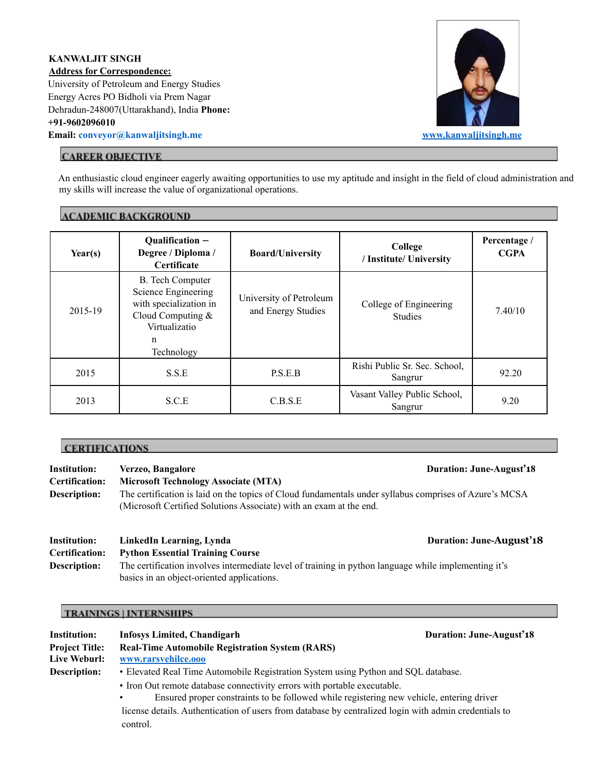# **KANWALJIT SINGH Address for Correspondence:** University of Petroleum and Energy Studies Energy Acres PO Bidholi via Prem Nagar Dehradun-248007(Uttarakhand), India **Phone: +91-9602096010 Email: [conveyor@kanwaljitsingh.me](mailto:conveyor@kanwaljitsingh.me) [www.kanwaljitsingh.me](http://www.kanwaljitsingh.me/)**



# **CAREER OBJECTIVE**

An enthusiastic cloud engineer eagerly awaiting opportunities to use my aptitude and insight in the field of cloud administration and my skills will increase the value of organizational operations.

# **ACADEMIC BACKGROUND**

| Year(s) | Qualification -<br>Degree / Diploma /<br><b>Certificate</b>                                                                         | <b>Board/University</b>                       | College<br>/ Institute/ University       | Percentage /<br><b>CGPA</b> |
|---------|-------------------------------------------------------------------------------------------------------------------------------------|-----------------------------------------------|------------------------------------------|-----------------------------|
| 2015-19 | <b>B.</b> Tech Computer<br>Science Engineering<br>with specialization in<br>Cloud Computing $&$<br>Virtualizatio<br>n<br>Technology | University of Petroleum<br>and Energy Studies | College of Engineering<br><b>Studies</b> | 7.40/10                     |
| 2015    | S.S.E                                                                                                                               | P.S.E.B                                       | Rishi Public Sr. Sec. School,<br>Sangrur | 92.20                       |
| 2013    | S.C.E                                                                                                                               | C.B.S.E                                       | Vasant Valley Public School,<br>Sangrur  | 9.20                        |

## **CERTIFICATIONS**

| <b>Institution:</b>   | Verzeo, Bangalore                                                                                                                                                            | Duration: June-August'18        |
|-----------------------|------------------------------------------------------------------------------------------------------------------------------------------------------------------------------|---------------------------------|
| <b>Certification:</b> | <b>Microsoft Technology Associate (MTA)</b>                                                                                                                                  |                                 |
| Description:          | The certification is laid on the topics of Cloud fundamentals under syllabus comprises of Azure's MCSA<br>(Microsoft Certified Solutions Associate) with an exam at the end. |                                 |
| <b>Institution:</b>   | LinkedIn Learning, Lynda                                                                                                                                                     | <b>Duration: June-August'18</b> |

**Certification: Python Essential Training Course Description:** The certification involves intermediate level of training in python language while implementing it's basics in an object-oriented applications.

# **TRAININGS | INTERNSHIPS**

| Institution:          | <b>Infosys Limited, Chandigarh</b>                                                                    | Duration: June-August'18 |  |
|-----------------------|-------------------------------------------------------------------------------------------------------|--------------------------|--|
| <b>Project Title:</b> | <b>Real-Time Automobile Registration System (RARS)</b>                                                |                          |  |
| Live Weburl:          | www.rarsvehilce.ooo                                                                                   |                          |  |
| Description:          | • Elevated Real Time Automobile Registration System using Python and SQL database.                    |                          |  |
|                       | • Iron Out remote database connectivity errors with portable executable.                              |                          |  |
|                       | Ensured proper constraints to be followed while registering new vehicle, entering driver              |                          |  |
|                       | license details. Authentication of users from database by centralized login with admin credentials to |                          |  |
|                       | control.                                                                                              |                          |  |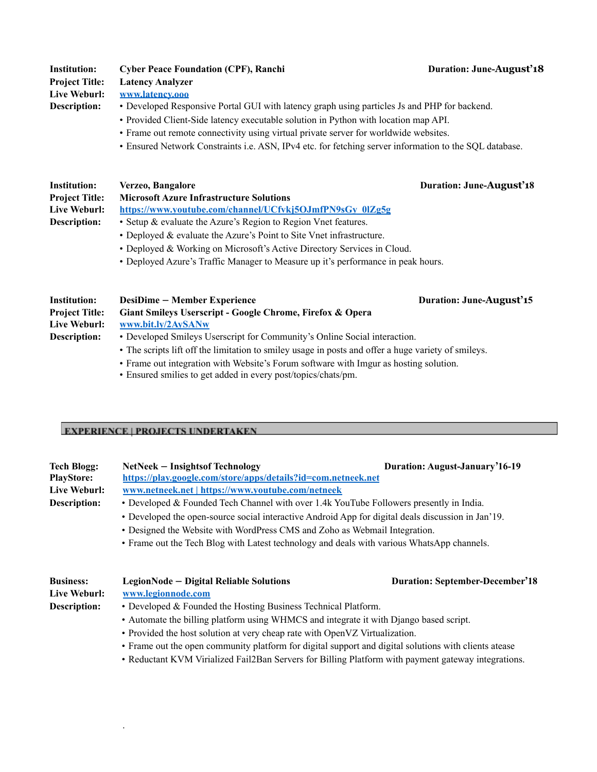| <b>Institution:</b>   | <b>Cyber Peace Foundation (CPF), Ranchi</b>                                                                                                                                 | <b>Duration: June-August'18</b> |  |  |
|-----------------------|-----------------------------------------------------------------------------------------------------------------------------------------------------------------------------|---------------------------------|--|--|
| <b>Project Title:</b> | <b>Latency Analyzer</b>                                                                                                                                                     |                                 |  |  |
| Live Weburl:          | www.latency.ooo                                                                                                                                                             |                                 |  |  |
| Description:          | • Developed Responsive Portal GUI with latency graph using particles Js and PHP for backend.                                                                                |                                 |  |  |
|                       | • Provided Client-Side latency executable solution in Python with location map API.<br>• Frame out remote connectivity using virtual private server for worldwide websites. |                                 |  |  |
|                       |                                                                                                                                                                             |                                 |  |  |
|                       | • Ensured Network Constraints i.e. ASN, IPv4 etc. for fetching server information to the SQL database.                                                                      |                                 |  |  |
| Institution:          | Verzeo, Bangalore                                                                                                                                                           | <b>Duration: June-August'18</b> |  |  |
| <b>Project Title:</b> | <b>Microsoft Azure Infrastructure Solutions</b>                                                                                                                             |                                 |  |  |
| Live Weburl:          | https://www.youtube.com/channel/UCfvki5OJmfPN9sGy 0lZg5g                                                                                                                    |                                 |  |  |
| Description:          | • Setup & evaluate the Azure's Region to Region Vnet features.                                                                                                              |                                 |  |  |

- Deployed & evaluate the Azure's Point to Site Vnet infrastructure.
- Deployed & Working on Microsoft's Active Directory Services in Cloud.
- Deployed Azure's Traffic Manager to Measure up it's performance in peak hours.

| Institution:          | <b>DesiDime – Member Experience</b>                                                                 | <b>Duration: June-</b> |
|-----------------------|-----------------------------------------------------------------------------------------------------|------------------------|
| <b>Project Title:</b> | Giant Smileys Userscript - Google Chrome, Firefox & Opera                                           |                        |
| Live Weburl:          | www.bit.ly/2AySANw                                                                                  |                        |
| Description:          | • Developed Smileys Userscript for Community's Online Social interaction.                           |                        |
|                       | • The scripts lift off the limitation to smiley usage in posts and offer a huge variety of smileys. |                        |

• Frame out integration with Website's Forum software with Imgur as hosting solution.

 $Duration: June-August'15$ 

• Ensured smilies to get added in every post/topics/chats/pm.

#### **EXPERIENCE | PROJECTS UNDERTAKEN**

.

| <b>Tech Blogg:</b><br><b>PlayStore:</b> | NetNeek – Insights of Technology<br>https://play.google.com/store/apps/details?id=com.netneek.net                                                                                                                                                                              | Duration: August-January'16-19         |
|-----------------------------------------|--------------------------------------------------------------------------------------------------------------------------------------------------------------------------------------------------------------------------------------------------------------------------------|----------------------------------------|
| Live Weburl:                            | www.netneek.net   https://www.youtube.com/netneek                                                                                                                                                                                                                              |                                        |
| Description:                            | • Developed & Founded Tech Channel with over 1.4k YouTube Followers presently in India.                                                                                                                                                                                        |                                        |
|                                         | • Developed the open-source social interactive Android App for digital deals discussion in Jan'19.<br>• Designed the Website with WordPress CMS and Zoho as Webmail Integration.<br>• Frame out the Tech Blog with Latest technology and deals with various WhatsApp channels. |                                        |
| <b>Business:</b><br>Live Weburl:        | LegionNode – Digital Reliable Solutions<br>www.legionnode.com                                                                                                                                                                                                                  | <b>Duration: September-December'18</b> |

- **Description:** Developed & Founded the Hosting Business Technical Platform.
	- Automate the billing platform using WHMCS and integrate it with Django based script.
	- Provided the host solution at very cheap rate with OpenVZ Virtualization.
	- Frame out the open community platform for digital support and digital solutions with clients atease
	- Reductant KVM Virialized Fail2Ban Servers for Billing Platform with payment gateway integrations.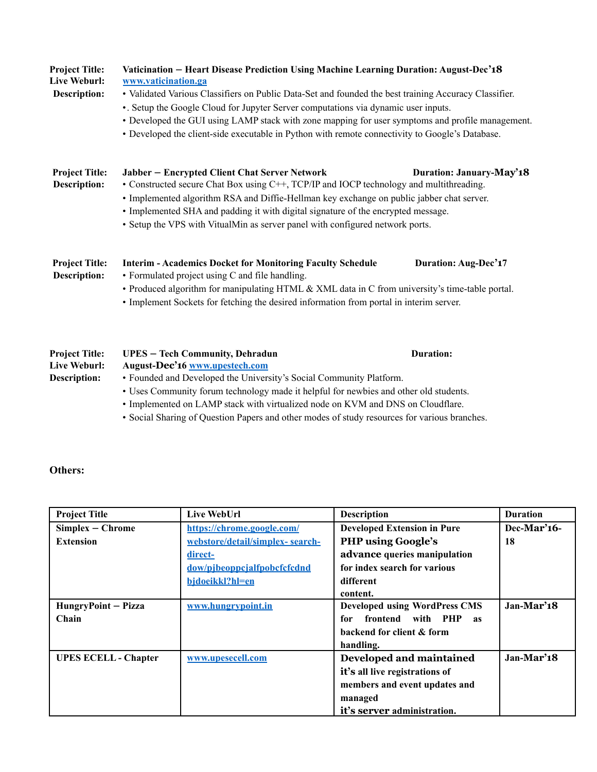| <b>Project Title:</b><br><b>Live Weburl:</b><br>Description: | Vaticination - Heart Disease Prediction Using Machine Learning Duration: August-Dec'18<br>www.vaticination.ga<br>• Validated Various Classifiers on Public Data-Set and founded the best training Accuracy Classifier.<br>•. Setup the Google Cloud for Jupyter Server computations via dynamic user inputs.<br>• Developed the GUI using LAMP stack with zone mapping for user symptoms and profile management.<br>• Developed the client-side executable in Python with remote connectivity to Google's Database. |                          |  |
|--------------------------------------------------------------|---------------------------------------------------------------------------------------------------------------------------------------------------------------------------------------------------------------------------------------------------------------------------------------------------------------------------------------------------------------------------------------------------------------------------------------------------------------------------------------------------------------------|--------------------------|--|
| <b>Project Title:</b><br><b>Description:</b>                 | Jabber - Encrypted Client Chat Server Network<br>• Constructed secure Chat Box using C++, TCP/IP and IOCP technology and multithreading.<br>• Implemented algorithm RSA and Diffie-Hellman key exchange on public jabber chat server.<br>• Implemented SHA and padding it with digital signature of the encrypted message.<br>• Setup the VPS with VitualMin as server panel with configured network ports.                                                                                                         | Duration: January-May'18 |  |
| <b>Project Title:</b><br><b>Description:</b>                 | <b>Interim - Academics Docket for Monitoring Faculty Schedule</b><br>• Formulated project using C and file handling.<br>• Produced algorithm for manipulating HTML & XML data in C from university's time-table portal.<br>• Implement Sockets for fetching the desired information from portal in interim server.                                                                                                                                                                                                  | Duration: Aug-Dec'17     |  |
| <b>Project Title:</b><br>Live Weburl:<br><b>Description:</b> | <b>UPES - Tech Community, Dehradun</b><br>August-Dec'16 www.upestech.com<br>• Founded and Developed the University's Social Community Platform.<br>• Uses Community forum technology made it helpful for newbies and other old students.                                                                                                                                                                                                                                                                            | Duration:                |  |

- Implemented on LAMP stack with virtualized node on KVM and DNS on Cloudflare.
- Social Sharing of Question Papers and other modes of study resources for various branches.

# **Others:**

| <b>Project Title</b>        | Live WebUrl                     | <b>Description</b>                    | <b>Duration</b> |
|-----------------------------|---------------------------------|---------------------------------------|-----------------|
| $Simplex - Chrome$          | https://chrome.google.com/      | <b>Developed Extension in Pure</b>    | $Dec-Mar'16-$   |
| <b>Extension</b>            | webstore/detail/simplex-search- | <b>PHP</b> using Google's             | 18              |
|                             | direct-                         | advance queries manipulation          |                 |
|                             | dow/pibeoppcialfpobcfcfcdnd     | for index search for various          |                 |
|                             | bjdoeikkl?hl=en                 | different                             |                 |
|                             |                                 | content.                              |                 |
| HungryPoint - Pizza         | www.hungrypoint.in              | <b>Developed using WordPress CMS</b>  | Jan-Mar'18      |
| Chain                       |                                 | frontend with PHP<br>for<br><b>as</b> |                 |
|                             |                                 | backend for client & form             |                 |
|                             |                                 | handling.                             |                 |
| <b>UPES ECELL - Chapter</b> | www.upesecell.com               | Developed and maintained              | Jan-Mar'18      |
|                             |                                 | it's all live registrations of        |                 |
|                             |                                 | members and event updates and         |                 |
|                             |                                 | managed                               |                 |
|                             |                                 | it's server administration.           |                 |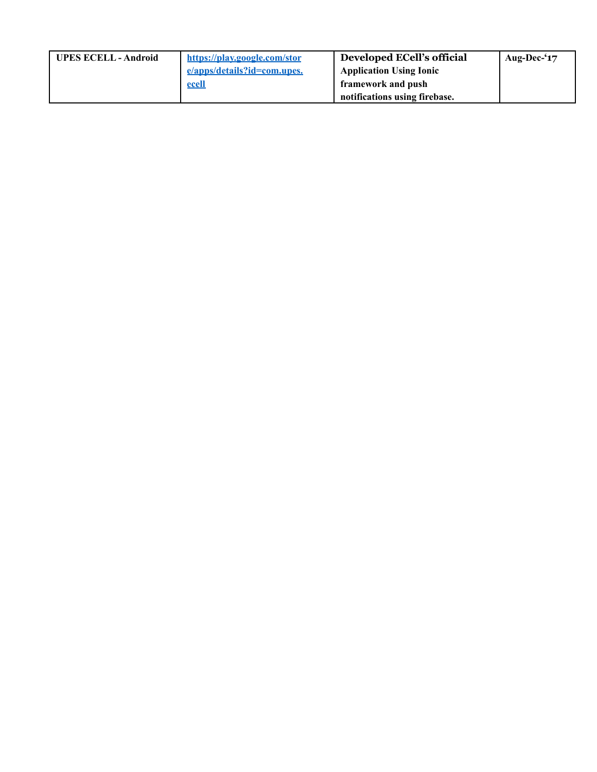| <b>UPES ECELL - Android</b> | https://play.google.com/stor | Developed ECell's official     | Aug-Dec-'17 |
|-----------------------------|------------------------------|--------------------------------|-------------|
|                             | e/apps/details?id=com.upes.  | <b>Application Using Ionic</b> |             |
|                             | ecell                        | framework and push             |             |
|                             |                              | notifications using firebase.  |             |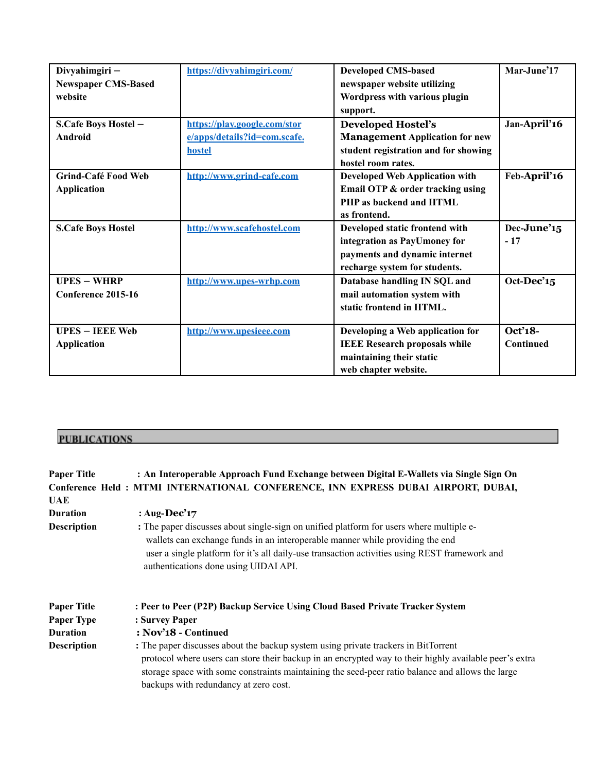| Divyahimgiri-              | https://divyahimgiri.com/    | <b>Developed CMS-based</b>            | Mar-June'17  |
|----------------------------|------------------------------|---------------------------------------|--------------|
| <b>Newspaper CMS-Based</b> |                              | newspaper website utilizing           |              |
| website                    |                              | Wordpress with various plugin         |              |
|                            |                              | support.                              |              |
| S.Cafe Boys Hostel -       | https://play.google.com/stor | <b>Developed Hostel's</b>             | Jan-April'16 |
| Android                    | e/apps/details?id=com.scafe. | <b>Management Application for new</b> |              |
|                            | hostel                       | student registration and for showing  |              |
|                            |                              | hostel room rates.                    |              |
| Grind-Café Food Web        | http://www.grind-cafe.com    | <b>Developed Web Application with</b> | Feb-April'16 |
| <b>Application</b>         |                              | Email OTP & order tracking using      |              |
|                            |                              | PHP as backend and HTML               |              |
|                            |                              | as frontend.                          |              |
| <b>S.Cafe Boys Hostel</b>  | http://www.scafehostel.com   | Developed static frontend with        | Dec-June'15  |
|                            |                              | integration as PayUmoney for          | $-17$        |
|                            |                              | payments and dynamic internet         |              |
|                            |                              | recharge system for students.         |              |
| $UPES - WHRP$              | http://www.upes-wrhp.com     | Database handling IN SQL and          | Oct-Dec'15   |
| Conference 2015-16         |                              | mail automation system with           |              |
|                            |                              | static frontend in HTML.              |              |
|                            |                              |                                       |              |
| <b>UPES – IEEE Web</b>     | http://www.upesieee.com      | Developing a Web application for      | Oct'18-      |
| <b>Application</b>         |                              | <b>IEEE Research proposals while</b>  | Continued    |
|                            |                              | maintaining their static              |              |
|                            |                              | web chapter website.                  |              |

# **PUBLICATIONS**

| <b>Paper Title</b><br>UAE | : An Interoperable Approach Fund Exchange between Digital E-Wallets via Single Sign On<br>Conference Held: MTMI INTERNATIONAL CONFERENCE, INN EXPRESS DUBAI AIRPORT, DUBAI,                                                                                                                                                               |
|---------------------------|-------------------------------------------------------------------------------------------------------------------------------------------------------------------------------------------------------------------------------------------------------------------------------------------------------------------------------------------|
| <b>Duration</b>           | : Aug-Dec' <sub>17</sub>                                                                                                                                                                                                                                                                                                                  |
| <b>Description</b>        | : The paper discusses about single-sign on unified platform for users where multiple e-<br>wallets can exchange funds in an interoperable manner while providing the end<br>user a single platform for it's all daily-use transaction activities using REST framework and<br>authentications done using UIDAI API.                        |
| <b>Paper Title</b>        | : Peer to Peer (P2P) Backup Service Using Cloud Based Private Tracker System                                                                                                                                                                                                                                                              |
| <b>Paper Type</b>         | : Survey Paper                                                                                                                                                                                                                                                                                                                            |
| <b>Duration</b>           | $: Nov318$ - Continued                                                                                                                                                                                                                                                                                                                    |
| <b>Description</b>        | : The paper discusses about the backup system using private trackers in BitTorrent<br>protocol where users can store their backup in an encrypted way to their highly available peer's extra<br>storage space with some constraints maintaining the seed-peer ratio balance and allows the large<br>backups with redundancy at zero cost. |